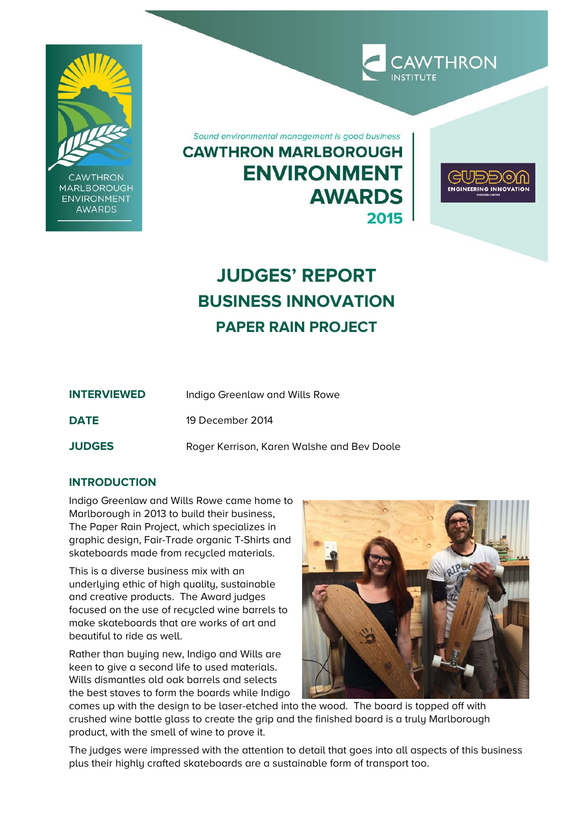

**CAWTHRON MARLBOROUGH ENVIRONMENT AWARDS** 

Sound environmental management is good business **CAWTHRON MARLBOROUGH ENVIRONMENT AWARDS** 2015



**CAWTHRON** 

# **JUDGES' REPORT BUSINESS INNOVATION PAPER RAIN PROJECT**

| <b>INTERVIEWED</b> | Indigo Greenlaw and Wills Rowe             |
|--------------------|--------------------------------------------|
| <b>DATE</b>        | 19 December 2014                           |
| <b>JUDGES</b>      | Roger Kerrison, Karen Walshe and Bev Doole |

# **INTRODUCTION**

Indigo Greenlaw and Wills Rowe came home to Marlborough in 2013 to build their business, The Paper Rain Project, which specializes in graphic design, Fair-Trade organic T-Shirts and skateboards made from recycled materials.

This is a diverse business mix with an underlying ethic of high quality, sustainable and creative products. The Award judges focused on the use of recycled wine barrels to make skateboards that are works of art and beautiful to ride as well.

Rather than buying new, Indigo and Wills are keen to give a second life to used materials. Wills dismantles old oak barrels and selects the best staves to form the boards while Indigo



comes up with the design to be laser-etched into the wood. The board is topped off with crushed wine bottle glass to create the grip and the finished board is a truly Marlborough product, with the smell of wine to prove it.

The judges were impressed with the attention to detail that goes into all aspects of this business plus their highly crafted skateboards are a sustainable form of transport too.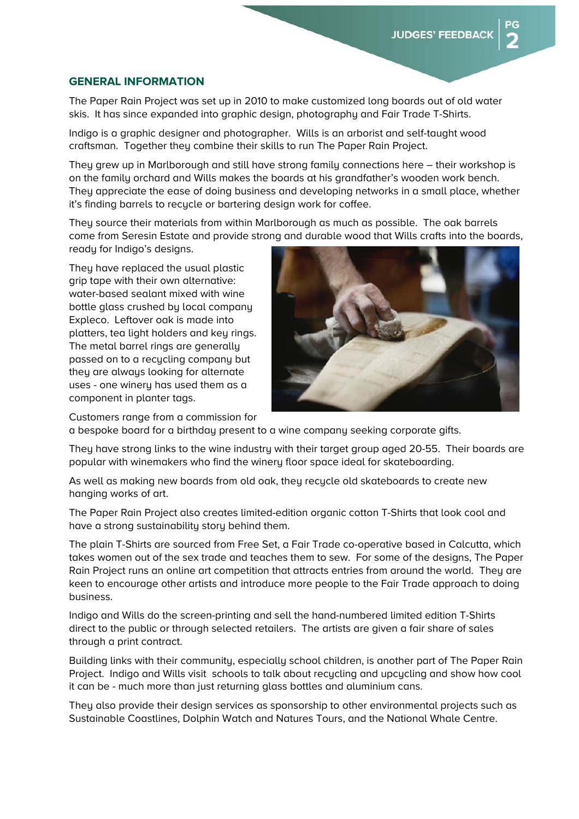#### **GENERAL INFORMATION**

The Paper Rain Project was set up in 2010 to make customized long boards out of old water skis. It has since expanded into graphic design, photography and Fair Trade T-Shirts.

Indigo is a graphic designer and photographer. Wills is an arborist and self-taught wood craftsman. Together they combine their skills to run The Paper Rain Project.

They grew up in Marlborough and still have strong family connections here – their workshop is on the family orchard and Wills makes the boards at his grandfather's wooden work bench. They appreciate the ease of doing business and developing networks in a small place, whether it's finding barrels to recycle or bartering design work for coffee.

They source their materials from within Marlborough as much as possible. The oak barrels come from Seresin Estate and provide strong and durable wood that Wills crafts into the boards, ready for Indigo's designs.

They have replaced the usual plastic grip tape with their own alternative: water-based sealant mixed with wine bottle glass crushed by local company Expleco. Leftover oak is made into platters, tea light holders and key rings. The metal barrel rings are generally passed on to a recycling company but they are always looking for alternate uses - one winery has used them as a component in planter tags.



Customers range from a commission for

a bespoke board for a birthday present to a wine company seeking corporate gifts.

They have strong links to the wine industry with their target group aged 20-55. Their boards are popular with winemakers who find the winery floor space ideal for skateboarding.

As well as making new boards from old oak, they recycle old skateboards to create new hanging works of art.

The Paper Rain Project also creates limited-edition organic cotton T-Shirts that look cool and have a strong sustainability story behind them.

The plain T-Shirts are sourced from Free Set, a Fair Trade co-operative based in Calcutta, which takes women out of the sex trade and teaches them to sew. For some of the designs, The Paper Rain Project runs an online art competition that attracts entries from around the world. They are keen to encourage other artists and introduce more people to the Fair Trade approach to doing business.

Indigo and Wills do the screen-printing and sell the hand-numbered limited edition T-Shirts direct to the public or through selected retailers. The artists are given a fair share of sales through a print contract.

Building links with their community, especially school children, is another part of The Paper Rain Project. Indigo and Wills visit schools to talk about recycling and upcycling and show how cool it can be - much more than just returning glass bottles and aluminium cans.

They also provide their design services as sponsorship to other environmental projects such as Sustainable Coastlines, Dolphin Watch and Natures Tours, and the National Whale Centre.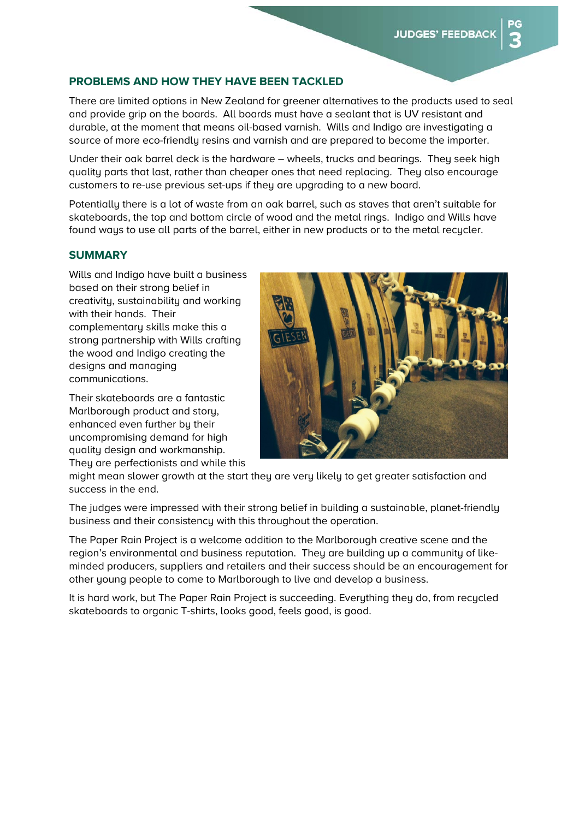## **PROBLEMS AND HOW THEY HAVE BEEN TACKLED**

There are limited options in New Zealand for greener alternatives to the products used to seal and provide grip on the boards. All boards must have a sealant that is UV resistant and durable, at the moment that means oil-based varnish. Wills and Indigo are investigating a source of more eco-friendly resins and varnish and are prepared to become the importer.

Under their oak barrel deck is the hardware – wheels, trucks and bearings. They seek high quality parts that last, rather than cheaper ones that need replacing. They also encourage customers to re-use previous set-ups if they are upgrading to a new board.

Potentially there is a lot of waste from an oak barrel, such as staves that aren't suitable for skateboards, the top and bottom circle of wood and the metal rings. Indigo and Wills have found ways to use all parts of the barrel, either in new products or to the metal recucler.

#### **SUMMARY**

Wills and Indigo have built a business based on their strong belief in creativity, sustainability and working with their hands. Their complementary skills make this a strong partnership with Wills crafting the wood and Indigo creating the designs and managing communications.

Their skateboards are a fantastic Marlborough product and story, enhanced even further by their uncompromising demand for high quality design and workmanship. They are perfectionists and while this



might mean slower growth at the start they are very likely to get greater satisfaction and success in the end.

The judges were impressed with their strong belief in building a sustainable, planet-friendly business and their consistency with this throughout the operation.

The Paper Rain Project is a welcome addition to the Marlborough creative scene and the region's environmental and business reputation. They are building up a community of likeminded producers, suppliers and retailers and their success should be an encouragement for other young people to come to Marlborough to live and develop a business.

It is hard work, but The Paper Rain Project is succeeding. Everything they do, from recycled skateboards to organic T-shirts, looks good, feels good, is good.